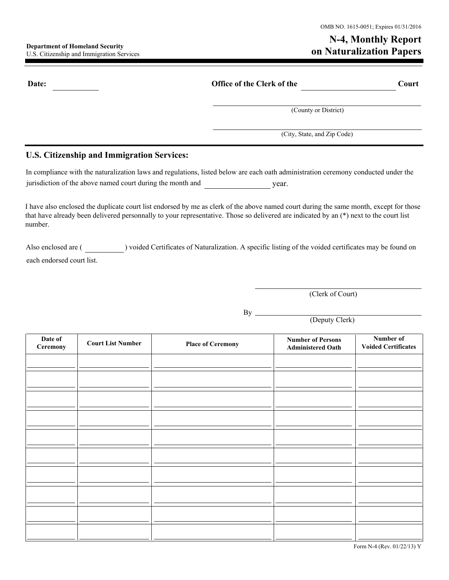## **N-4, Monthly Report Outer Security Constitution Security Constitution Papers Constitution Papers Department of Homeland Security Department of Homeland Security Department of Homeland Security Department of Homeland Security**

| Date:                                                      | <b>Office of the Clerk of the</b>                                                                                                                                                                                                                                                | Court |  |
|------------------------------------------------------------|----------------------------------------------------------------------------------------------------------------------------------------------------------------------------------------------------------------------------------------------------------------------------------|-------|--|
|                                                            | (County or District)                                                                                                                                                                                                                                                             |       |  |
|                                                            | (City, State, and Zip Code)                                                                                                                                                                                                                                                      |       |  |
| U.S. Citizenship and Immigration Services:                 |                                                                                                                                                                                                                                                                                  |       |  |
| jurisdiction of the above named court during the month and | In compliance with the naturalization laws and regulations, listed below are each oath administration ceremony conducted under the<br>year.                                                                                                                                      |       |  |
| number.                                                    | I have also enclosed the duplicate court list endorsed by me as clerk of the above named court during the same month, except for those<br>that have already been delivered personnally to your representative. Those so delivered are indicated by an (*) next to the court list |       |  |

Also enclosed are ( ) voided Certificates of Naturalization. A specific listing of the voided certificates may be found on each endorsed court list.

(Clerk of Court)

By

(Deputy Clerk)

| Date of<br>Ceremony | <b>Court List Number</b> | <b>Place of Ceremony</b> | <b>Number of Persons</b><br><b>Administered Oath</b> | Number of<br><b>Voided Certificates</b> |
|---------------------|--------------------------|--------------------------|------------------------------------------------------|-----------------------------------------|
|                     |                          |                          |                                                      |                                         |
|                     |                          |                          |                                                      |                                         |
|                     |                          |                          |                                                      |                                         |
|                     |                          |                          |                                                      |                                         |
|                     |                          |                          |                                                      |                                         |
|                     |                          |                          |                                                      |                                         |
|                     |                          |                          |                                                      |                                         |
|                     |                          |                          |                                                      |                                         |
|                     |                          |                          |                                                      |                                         |
|                     |                          |                          |                                                      |                                         |
|                     |                          |                          |                                                      |                                         |

Form N-4 (Rev. 01/22/13) Y